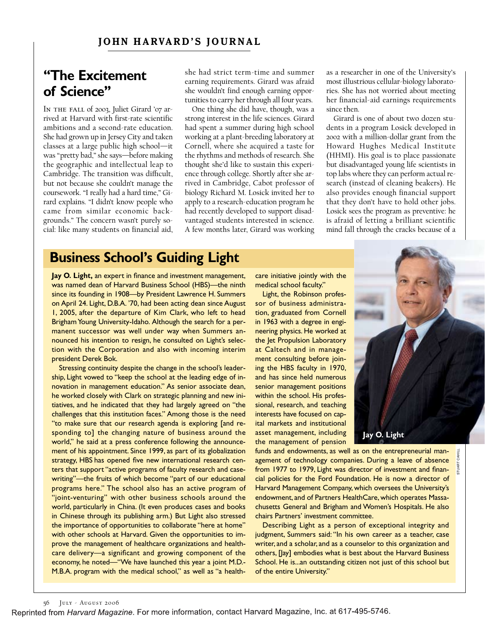#### **JOHN HARVARD'S JOURNAL**

## **"The Excitement of Science"**

In the fall of 2003, Juliet Girard '07 arrived at Harvard with first-rate scientific ambitions and a second-rate education. She had grown up in Jersey City and taken classes at a large public high school—it was "pretty bad," she says—before making the geographic and intellectual leap to Cambridge. The transition was difficult, but not because she couldn't manage the coursework. "I really had a hard time," Girard explains. "I didn't know people who came from similar economic backgrounds." The concern wasn't purely social: like many students on financial aid, she had strict term-time and summer earning requirements. Girard was afraid she wouldn't find enough earning opportunities to carry her through all four years.

One thing she did have, though, was a strong interest in the life sciences. Girard had spent a summer during high school working at a plant-breeding laboratory at Cornell, where she acquired a taste for the rhythms and methods of research. She thought she'd like to sustain this experience through college. Shortly after she arrived in Cambridge, Cabot professor of biology Richard M. Losick invited her to apply to a research-education program he had recently developed to support disadvantaged students interested in science. A few months later, Girard was working as a researcher in one of the University's most illustrious cellular-biology laboratories. She has not worried about meeting her financial-aid earnings requirements since then.

Girard is one of about two dozen students in a program Losick developed in 2002 with a million-dollar grant from the Howard Hughes Medical Institute (HHMI). His goal is to place passionate but disadvantaged young life scientists in top labs where they can perform actual research (instead of cleaning beakers). He also provides enough financial support that they don't have to hold other jobs. Losick sees the program as preventive: he is afraid of letting a brilliant scientific mind fall through the cracks because of a

#### **Business School's Guiding Light**

**Jay O. Light,** an expert in finance and investment management, was named dean of Harvard Business School (HBS)—the ninth since its founding in 1908—by President Lawrence H. Summers on April 24. Light, D.B.A. '70, had been acting dean since August 1, 2005, after the departure of Kim Clark, who left to head Brigham Young University-Idaho. Although the search for a permanent successor was well under way when Summers announced his intention to resign, he consulted on Light's selection with the Corporation and also with incoming interim president Derek Bok.

Stressing continuity despite the change in the school's leadership, Light vowed to "keep the school at the leading edge of innovation in management education." As senior associate dean, he worked closely with Clark on strategic planning and new initiatives, and he indicated that they had largely agreed on "the challenges that this institution faces." Among those is the need "to make sure that our research agenda is exploring [and responding to] the changing nature of business around the world," he said at a press conference following the announcement of his appointment. Since 1999, as part of its globalization strategy, HBS has opened five new international research centers that support "active programs of faculty research and casewriting"—the fruits of which become "part of our educational programs here." The school also has an active program of "joint-venturing" with other business schools around the world, particularly in China. (It even produces cases and books in Chinese through its publishing arm.) But Light also stressed the importance of opportunities to collaborate "here at home" with other schools at Harvard. Given the opportunities to improve the management of healthcare organizations and healthcare delivery—a significant and growing component of the economy, he noted—"We have launched this year a joint M.D.- M.B.A. program with the medical school," as well as "a healthcare initiative jointly with the medical school faculty."

Light, the Robinson professor of business administration, graduated from Cornell in 1963 with a degree in engineering physics. He worked at the Jet Propulsion Laboratory at Caltech and in management consulting before joining the HBS faculty in 1970, and has since held numerous senior management positions within the school. His professional, research, and teaching interests have focused on capital markets and institutional asset management, including the management of pension

funds and endowments, as well as on the entrepreneurial management of technology companies. During a leave of absence from 1977 to 1979, Light was director of investment and financial policies for the Ford Foundation. He is now a director of Harvard Management Company, which oversees the University's endowment, and of Partners HealthCare, which operates Massachusetts General and Brigham and Women's Hospitals. He also chairs Partners' investment committee.

Describing Light as a person of exceptional integrity and judgment, Summers said: "In his own career as a teacher, case writer, and a scholar, and as a counselor to this organization and others, [Jay] embodies what is best about the Harvard Business School. He is...an outstanding citizen not just of this school but of the entire University."

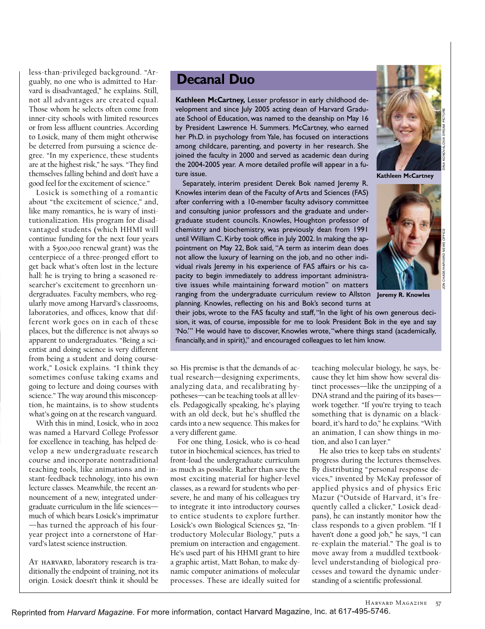less-than-privileged background. "Arguably, no one who is admitted to Harvard is disadvantaged," he explains. Still, not all advantages are created equal. Those whom he selects often come from inner-city schools with limited resources or from less affluent countries. According to Losick, many of them might otherwise be deterred from pursuing a science degree. "In my experience, these students are at the highest risk," he says. "They find themselves falling behind and don't have a good feel for the excitement of science."

Losick is something of a romantic about "the excitement of science," and, like many romantics, he is wary of institutionalization. His program for disadvantaged students (which HHMI will continue funding for the next four years with a \$500,000 renewal grant) was the centerpiece of a three-pronged effort to get back what's often lost in the lecture hall: he is trying to bring a seasoned researcher's excitement to greenhorn undergraduates. Faculty members, who regularly move among Harvard's classrooms, laboratories, and offices, know that different work goes on in each of these places, but the difference is not always so apparent to undergraduates. "Being a scientist and doing science is very different from being a student and doing coursework," Losick explains. "I think they sometimes confuse taking exams and going to lecture and doing courses with science." The way around this misconception, he maintains, is to show students what's going on at the research vanguard.

With this in mind, Losick, who in 2002 was named a Harvard College Professor for excellence in teaching, has helped develop a new undergraduate research course and incorporate nontraditional teaching tools, like animations and instant-feedback technology, into his own lecture classes. Meanwhile, the recent announcement of a new, integrated undergraduate curriculum in the life sciences much of which bears Losick's imprimatur —has turned the approach of his fouryear project into a cornerstone of Harvard's latest science instruction.

AT HARVARD, laboratory research is traditionally the endpoint of training, not its origin. Losick doesn't think it should be

### **Decanal Duo**

**Kathleen McCartney,** Lesser professor in early childhood development and since July 2005 acting dean of Harvard Graduate School of Education, was named to the deanship on May 16 by President Lawrence H. Summers. McCartney, who earned her Ph.D. in psychology from Yale, has focused on interactions among childcare, parenting, and poverty in her research. She joined the faculty in 2000 and served as academic dean during the 2004-2005 year. A more detailed profile will appear in a future issue.

Separately, interim president Derek Bok named Jeremy R. Knowles interim dean of the Faculty of Arts and Sciences (FAS) after conferring with a 10-member faculty advisory committee and consulting junior professors and the graduate and undergraduate student councils. Knowles, Houghton professor of chemistry and biochemistry, was previously dean from 1991 until William C. Kirby took office in July 2002. In making the appointment on May 22, Bok said, "A term as interim dean does not allow the luxury of learning on the job, and no other individual rivals Jeremy in his experience of FAS affairs or his capacity to begin immediately to address important administrative issues while maintaining forward motion" on matters ranging from the undergraduate curriculum review to Allston **Jeremy R. Knowles** planning. Knowles, reflecting on his and Bok's second turns at

**Kathleen McCartney**



their jobs, wrote to the FAS faculty and staff,"In the light of his own generous decision, it was, of course, impossible for me to look President Bok in the eye and say 'No.'" He would have to discover, Knowles wrote,"where things stand (academically, financially, and in spirit)," and encouraged colleagues to let him know.

so. His premise is that the demands of actual research—designing experiments, analyzing data, and recalibrating hypotheses—can be teaching tools at all levels. Pedagogically speaking, he's playing with an old deck, but he's shuffled the cards into a new sequence. This makes for a very different game.

For one thing, Losick, who is co-head tutor in biochemical sciences, has tried to front-load the undergraduate curriculum as much as possible. Rather than save the most exciting material for higher-level classes, as a reward for students who persevere, he and many of his colleagues try to integrate it into introductory courses to entice students to explore further. Losick's own Biological Sciences 52, "Introductory Molecular Biology," puts a premium on interaction and engagement. He's used part of his HHMI grant to hire a graphic artist, Matt Bohan, to make dynamic computer animations of molecular processes. These are ideally suited for

teaching molecular biology, he says, because they let him show how several distinct processes—like the unzipping of a DNA strand and the pairing of its bases work together. "If you're trying to teach something that is dynamic on a blackboard, it's hard to do," he explains. "With an animation, I can show things in motion, and also I can layer."

He also tries to keep tabs on students' progress during the lectures themselves. By distributing "personal response devices," invented by McKay professor of applied physics and of physics Eric Mazur ("Outside of Harvard, it's frequently called a clicker," Losick deadpans), he can instantly monitor how the class responds to a given problem. "If I haven't done a good job," he says, "I can re-explain the material." The goal is to move away from a muddled textbooklevel understanding of biological processes and toward the dynamic understanding of a scientific professional.

Harvard Magazine 57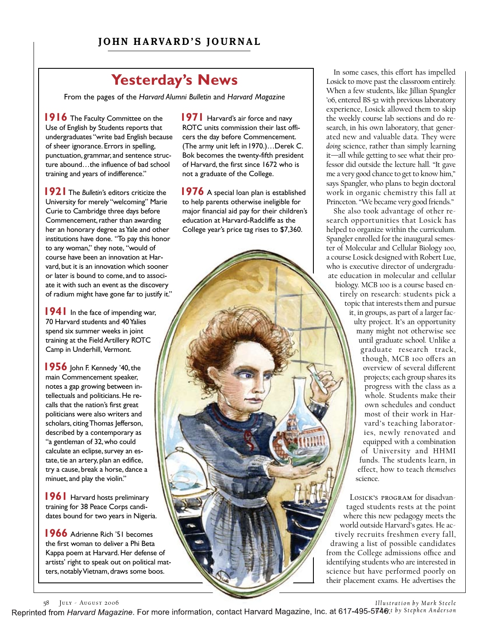# **Yesterday's News**

From the pages of the *Harvard Alumni Bulletin* and *Harvard Magazine*

**1916** The Faculty Committee on the Use of English by Students reports that undergraduates "write bad English because of sheer ignorance. Errors in spelling, punctuation, grammar, and sentence structure abound...the influence of bad school training and years of indifference."

**1921**The *Bulletin'*s editors criticize the University for merely "welcoming" Marie Curie to Cambridge three days before Commencement, rather than awarding her an honorary degree as Yale and other institutions have done. "To pay this honor to any woman," they note, "would of course have been an innovation at Harvard, but it is an innovation which sooner or later is bound to come, and to associate it with such an event as the discovery of radium might have gone far to justify it."

**1941** In the face of impending war, 70 Harvard students and 40 Yalies spend six summer weeks in joint training at the Field Artillery ROTC Camp in Underhill, Vermont.

**1956** John F. Kennedy '40, the main Commencement speaker, notes a gap growing between intellectuals and politicians. He recalls that the nation's first great politicians were also writers and scholars, citing Thomas Jefferson, described by a contemporary as "a gentleman of 32,who could calculate an eclipse, survey an estate, tie an artery, plan an edifice, try a cause, break a horse, dance a minuet, and play the violin."

**1961** Harvard hosts preliminary training for 38 Peace Corps candidates bound for two years in Nigeria.

**1966** Adrienne Rich '51 becomes the first woman to deliver a Phi Beta Kappa poem at Harvard. Her defense of artists' right to speak out on political matters, notably Vietnam, draws some boos.

**1971** Harvard's air force and navy ROTC units commission their last officers the day before Commencement. (The army unit left in1970.)…Derek C. Bok becomes the twenty-fifth president of Harvard, the first since 1672 who is not a graduate of the College.

**1976** A special loan plan is established to help parents otherwise ineligible for major financial aid pay for their children's education at Harvard-Radcliffe as the College year's price tag rises to \$7,360.

In some cases, this effort has impelled Losick to move past the classroom entirely. When a few students, like Jillian Spangler '06, entered BS 52 with previous laboratory experience, Losick allowed them to skip the weekly course lab sections and do research, in his own laboratory, that generated new and valuable data. They were *doing* science, rather than simply learning it—all while getting to see what their professor did outside the lecture hall. "It gave me a very good chance to get to know him," says Spangler, who plans to begin doctoral work in organic chemistry this fall at Princeton. "We became very good friends."

She also took advantage of other research opportunities that Losick has helped to organize within the curriculum. Spangler enrolled for the inaugural semester of Molecular and Cellular Biology 100, a course Losick designed with Robert Lue, who is executive director of undergraduate education in molecular and cellular biology. MCB 100 is a course based entirely on research: students pick a topic that interests them and pursue it, in groups, as part of a larger faculty project. It's an opportunity many might not otherwise see until graduate school. Unlike a graduate research track, though, MCB 100 offers an overview of several different projects; each group shares its progress with the class as a whole. Students make their own schedules and conduct most of their work in Harvard's teaching laboratories, newly renovated and equipped with a combination of University and HHMI funds. The students learn, in effect, how to teach *themselves* science.

Losick's program for disadvantaged students rests at the point where this new pedagogy meets the world outside Harvard's gates. He actively recruits freshmen every fall, drawing a list of possible candidates from the College admissions office and identifying students who are interested in science but have performed poorly on their placement exams. He advertises the

58 July - August 2006

*Illustration by Mark Steele* 

Reprinted from Harvard Magazine. For more information, contact Harvard Magazine, Inc. at 617-495-5746:t by Stephen Anderson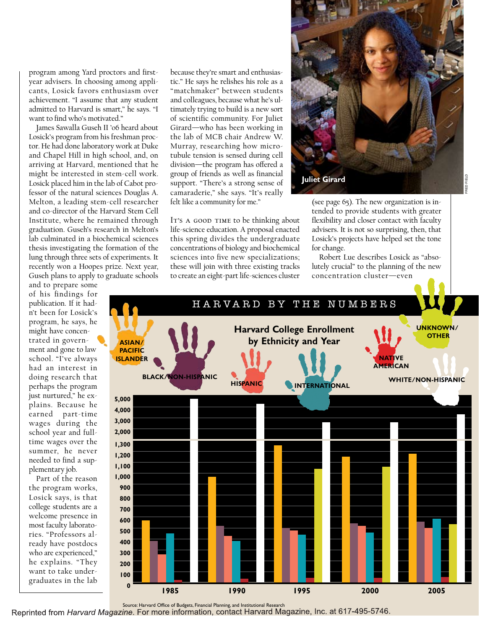program among Yard proctors and firstyear advisers. In choosing among applicants, Losick favors enthusiasm over achievement. "I assume that any student admitted to Harvard is smart," he says. "I want to find who's motivated."

James Sawalla Guseh II '06 heard about Losick's program from his freshman proctor. He had done laboratory work at Duke and Chapel Hill in high school, and, on arriving at Harvard, mentioned that he might be interested in stem-cell work. Losick placed him in the lab of Cabot professor of the natural sciences Douglas A. Melton, a leading stem-cell researcher and co-director of the Harvard Stem Cell Institute, where he remained through graduation. Guseh's research in Melton's lab culminated in a biochemical sciences thesis investigating the formation of the lung through three sets of experiments. It recently won a Hoopes prize. Next year, Guseh plans to apply to graduate schools

and to prepare some of his findings for publication. If it hadn't been for Losick's program, he says, he might have concentrated in government and gone to law school. "I've always had an interest in doing research that perhaps the program just nurtured," he explains. Because he earned part-time wages during the school year and fulltime wages over the summer, he never needed to find a supplementary job.

Part of the reason the program works, Losick says, is that college students are a welcome presence in most faculty laboratories. "Professors already have postdocs who are experienced," he explains. "They want to take undergraduates in the lab

because they're smart and enthusiastic." He says he relishes his role as a "matchmaker" between students and colleagues, because what he's ultimately trying to build is a new sort of scientific community. For Juliet Girard—who has been working in the lab of MCB chair Andrew W. Murray, researching how microtubule tension is sensed during cell division—the program has offered a group of friends as well as financial support. "There's a strong sense of camaraderie," she says. "It's really felt like a community for me."

IT's A GOOD TIME to be thinking about life-science education. A proposal enacted this spring divides the undergraduate concentrations of biology and biochemical sciences into five new specializations; these will join with three existing tracks to create an eight-part life-sciences cluster



(see page 65). The new organization is intended to provide students with greater flexibility and closer contact with faculty advisers. It is not so surprising, then, that Losick's projects have helped set the tone for change.

Robert Lue describes Losick as "absolutely crucial" to the planning of the new concentration cluster—even



Source: Harvard Office of Budgets, Financial Planning, and Institutional Research<br>Reprinted from Harvard Magazine. For more information, contact Harvard Magazine, Inc. at 617-495-5746.